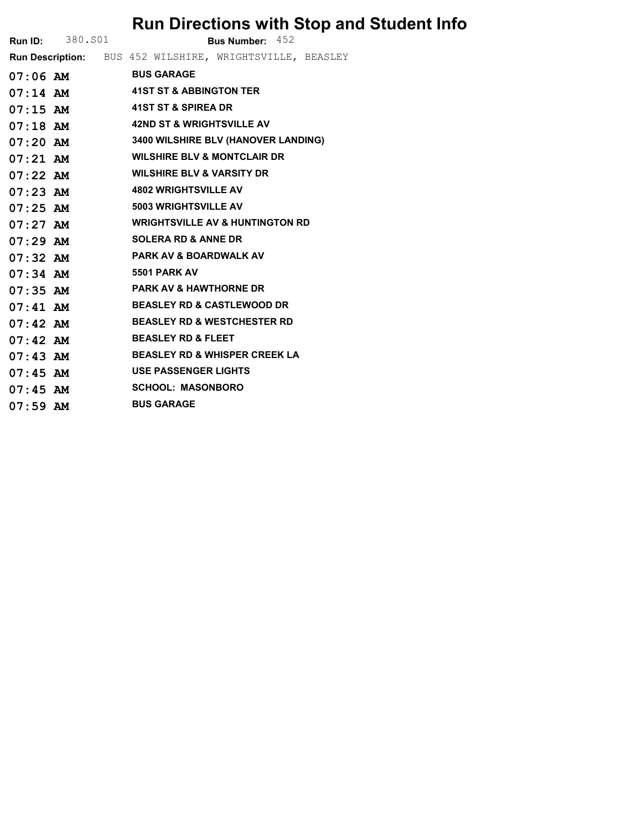## Run Directions with Stop and Student Info

| <b>Run ID:</b> 380. S01 |  |                                                          | Bus Number: 452 |  |
|-------------------------|--|----------------------------------------------------------|-----------------|--|
|                         |  | Run Description: BUS 452 WILSHIRE, WRIGHTSVILLE, BEASLEY |                 |  |
|                         |  | 07:06 AM BUS GARAGE                                      |                 |  |
|                         |  | 07:14 AM 41ST ST & ABBINGTON TER                         |                 |  |
| $07:15$ AM              |  | 41ST ST & SPIREA DR                                      |                 |  |
| $07:18$ AM              |  | <b>42ND ST &amp; WRIGHTSVILLE AV</b>                     |                 |  |
| $07:20$ AM              |  | 3400 WILSHIRE BLV (HANOVER LANDING)                      |                 |  |
| $07:21$ AM              |  | <b>WILSHIRE BLV &amp; MONTCLAIR DR</b>                   |                 |  |
| $07:22$ AM              |  | <b>WILSHIRE BLV &amp; VARSITY DR</b>                     |                 |  |
| $07:23$ AM              |  | <b>4802 WRIGHTSVILLE AV</b>                              |                 |  |
| $07:25$ AM              |  | 5003 WRIGHTSVILLE AV                                     |                 |  |
| $07:27$ AM              |  | <b>WRIGHTSVILLE AV &amp; HUNTINGTON RD</b>               |                 |  |
| $07:29$ AM              |  | <b>SOLERA RD &amp; ANNE DR</b>                           |                 |  |
| $07:32$ AM              |  | <b>PARK AV &amp; BOARDWALK AV</b>                        |                 |  |
| $07:34$ AM              |  | 5501 PARK AV                                             |                 |  |
| $07:35$ AM              |  | <b>PARK AV &amp; HAWTHORNE DR</b>                        |                 |  |
| $07:41$ AM              |  | <b>BEASLEY RD &amp; CASTLEWOOD DR</b>                    |                 |  |
| $07:42$ AM              |  | <b>BEASLEY RD &amp; WESTCHESTER RD</b>                   |                 |  |
| $07:42$ AM              |  | <b>BEASLEY RD &amp; FLEET</b>                            |                 |  |
| $07:43$ AM              |  | <b>BEASLEY RD &amp; WHISPER CREEK LA</b>                 |                 |  |
| $07:45$ AM              |  | <b>USE PASSENGER LIGHTS</b>                              |                 |  |
| $07:45$ AM              |  | <b>SCHOOL: MASONBORO</b>                                 |                 |  |
| $07:59$ AM              |  | <b>BUS GARAGE</b>                                        |                 |  |
|                         |  |                                                          |                 |  |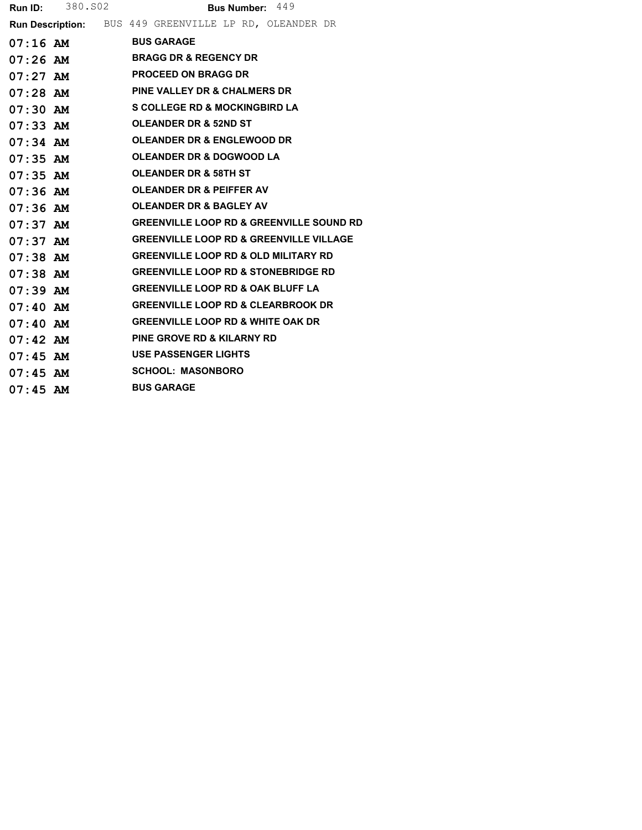|            | <b>Run ID:</b> 380. S02 | Bus Number: 449                                        |
|------------|-------------------------|--------------------------------------------------------|
|            |                         | Run Description: BUS 449 GREENVILLE LP RD, OLEANDER DR |
|            | $07:16$ AM              | <b>BUS GARAGE</b>                                      |
|            | $07:26$ AM              | <b>BRAGG DR &amp; REGENCY DR</b>                       |
| 07:27 AM   |                         | <b>PROCEED ON BRAGG DR</b>                             |
|            | 07:28 AM                | <b>PINE VALLEY DR &amp; CHALMERS DR</b>                |
| $07:30$ AM |                         | <b>S COLLEGE RD &amp; MOCKINGBIRD LA</b>               |
| 07:33 AM   |                         | <b>OLEANDER DR &amp; 52ND ST</b>                       |
| $07:34$ AM |                         | <b>OLEANDER DR &amp; ENGLEWOOD DR</b>                  |
| $07:35$ AM |                         | OLEANDER DR & DOGWOOD LA                               |
| $07:35$ AM |                         | <b>OLEANDER DR &amp; 58TH ST</b>                       |
| $07:36$ AM |                         | <b>OLEANDER DR &amp; PEIFFER AV</b>                    |
| 07:36 AM   |                         | <b>OLEANDER DR &amp; BAGLEY AV</b>                     |
| $07:37$ AM |                         | <b>GREENVILLE LOOP RD &amp; GREENVILLE SOUND RD</b>    |
| 07:37 AM   |                         | <b>GREENVILLE LOOP RD &amp; GREENVILLE VILLAGE</b>     |
| $07:38$ AM |                         | <b>GREENVILLE LOOP RD &amp; OLD MILITARY RD</b>        |
| 07:38 AM   |                         | <b>GREENVILLE LOOP RD &amp; STONEBRIDGE RD</b>         |
| $07:39$ AM |                         | <b>GREENVILLE LOOP RD &amp; OAK BLUFF LA</b>           |
| $07:40$ AM |                         | <b>GREENVILLE LOOP RD &amp; CLEARBROOK DR</b>          |
| $07:40$ AM |                         | <b>GREENVILLE LOOP RD &amp; WHITE OAK DR</b>           |
| $07:42$ AM |                         | <b>PINE GROVE RD &amp; KILARNY RD</b>                  |
| 07:45 AM   |                         | <b>USE PASSENGER LIGHTS</b>                            |
| $07:45$ AM |                         | <b>SCHOOL: MASONBORO</b>                               |
| $07:45$ AM |                         | <b>BUS GARAGE</b>                                      |
|            |                         |                                                        |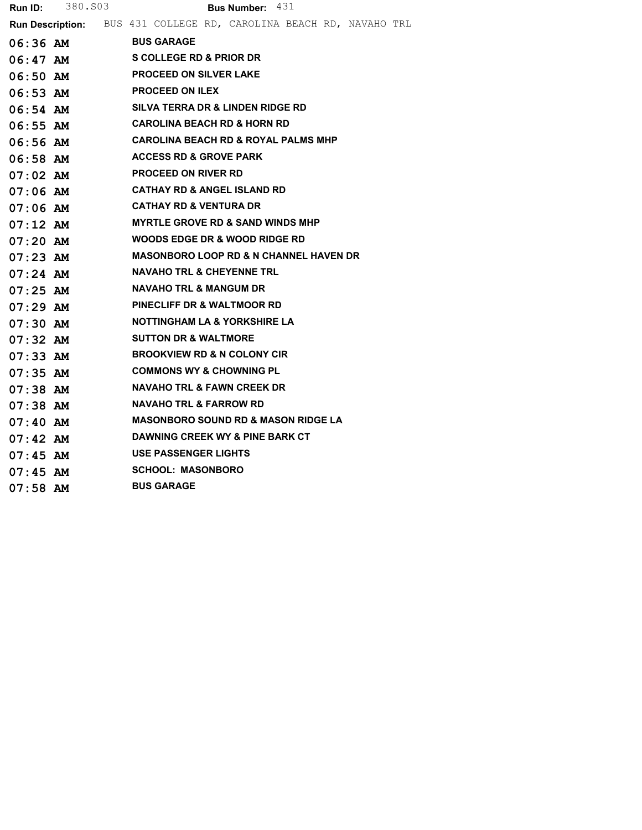|            | <b>Run ID:</b> 380.803 | <b>Bus Number: 431</b>                                             |
|------------|------------------------|--------------------------------------------------------------------|
|            |                        | Run Description: BUS 431 COLLEGE RD, CAROLINA BEACH RD, NAVAHO TRL |
|            | 06:36 AM BUS GARAGE    |                                                                    |
|            |                        | 06:47 AM SCOLLEGE RD & PRIOR DR                                    |
|            |                        | 06:50 AM PROCEED ON SILVER LAKE                                    |
|            |                        | 06:53 AM PROCEED ON ILEX                                           |
|            |                        | 06:54 AM SILVA TERRA DR & LINDEN RIDGE RD                          |
| 06:55 AM   |                        | <b>CAROLINA BEACH RD &amp; HORN RD</b>                             |
|            |                        | 06:56 AM CAROLINA BEACH RD & ROYAL PALMS MHP                       |
|            |                        | 06:58 AM ACCESS RD & GROVE PARK                                    |
|            |                        | 07:02 AM PROCEED ON RIVER RD                                       |
|            |                        | 07:06 AM CATHAY RD & ANGEL ISLAND RD                               |
|            | $07:06$ AM             | <b>CATHAY RD &amp; VENTURA DR</b>                                  |
|            | $07:12$ AM             | <b>MYRTLE GROVE RD &amp; SAND WINDS MHP</b>                        |
|            | $07:20$ AM             | WOODS EDGE DR & WOOD RIDGE RD                                      |
|            |                        | 07:23 AM MASONBORO LOOP RD & N CHANNEL HAVEN DR                    |
|            | $07:24$ AM             | <b>NAVAHO TRL &amp; CHEYENNE TRL</b>                               |
|            | $07:25$ AM             | NAVAHO TRL & MANGUM DR                                             |
|            | $07:29$ AM             | <b>PINECLIFF DR &amp; WALTMOOR RD</b>                              |
|            |                        | 07:30 AM NOTTINGHAM LA & YORKSHIRE LA                              |
|            | $07:32$ AM             | <b>SUTTON DR &amp; WALTMORE</b>                                    |
|            |                        | 07:33 AM BROOKVIEW RD & N COLONY CIR                               |
|            | $07:35$ AM             | <b>COMMONS WY &amp; CHOWNING PL</b>                                |
|            |                        | 07:38 AM NAVAHO TRL & FAWN CREEK DR                                |
| 07:38 AM   |                        | NAVAHO TRL & FARROW RD                                             |
|            | $07:40$ AM             | <b>MASONBORO SOUND RD &amp; MASON RIDGE LA</b>                     |
| 07:42 AM   |                        | DAWNING CREEK WY & PINE BARK CT                                    |
|            |                        | 07:45 AM USE PASSENGER LIGHTS                                      |
| $07:45$ AM |                        | <b>SCHOOL: MASONBORO</b>                                           |
| 07:58 AM   |                        | <b>BUS GARAGE</b>                                                  |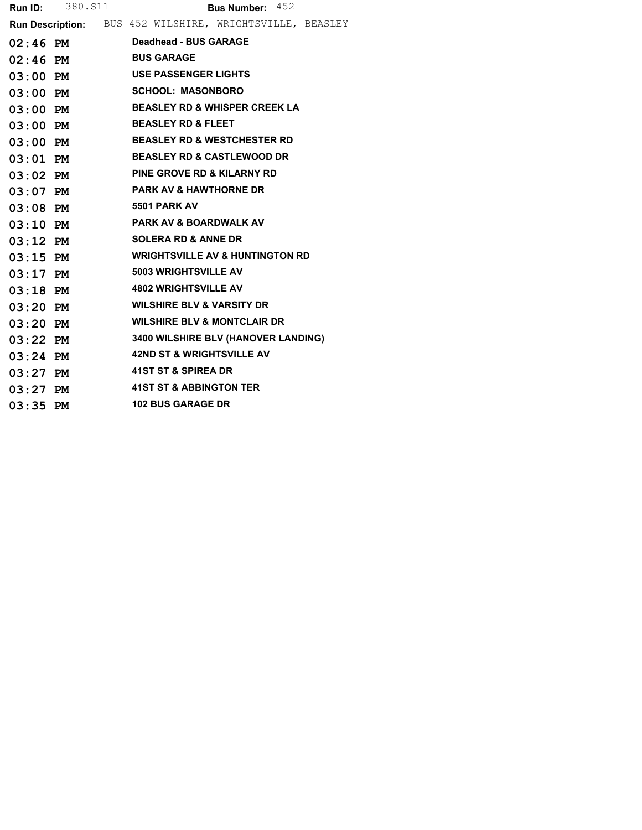|            | <b>Run ID:</b> 380. S11 | <b>Bus Number: 452</b>                                   |
|------------|-------------------------|----------------------------------------------------------|
|            |                         | Run Description: BUS 452 WILSHIRE, WRIGHTSVILLE, BEASLEY |
|            | $02:46$ PM              | Deadhead - BUS GARAGE                                    |
| $02:46$ PM |                         | <b>BUS GARAGE</b>                                        |
| $03:00$ PM |                         | <b>USE PASSENGER LIGHTS</b>                              |
| $03:00$ PM |                         | <b>SCHOOL: MASONBORO</b>                                 |
| $03:00$ PM |                         | <b>BEASLEY RD &amp; WHISPER CREEK LA</b>                 |
| $03:00$ PM |                         | <b>BEASLEY RD &amp; FLEET</b>                            |
| $03:00$ PM |                         | <b>BEASLEY RD &amp; WESTCHESTER RD</b>                   |
| $03:01$ PM |                         | <b>BEASLEY RD &amp; CASTLEWOOD DR</b>                    |
| $03:02$ PM |                         | <b>PINE GROVE RD &amp; KILARNY RD</b>                    |
| $03:07$ PM |                         | <b>PARK AV &amp; HAWTHORNE DR</b>                        |
| $03:08$ PM |                         | 5501 PARK AV                                             |
| $03:10$ PM |                         | <b>PARK AV &amp; BOARDWALK AV</b>                        |
| $03:12$ PM |                         | <b>SOLERA RD &amp; ANNE DR</b>                           |
| $03:15$ PM |                         | <b>WRIGHTSVILLE AV &amp; HUNTINGTON RD</b>               |
| $03:17$ PM |                         | <b>5003 WRIGHTSVILLE AV</b>                              |
| $03:18$ PM |                         | <b>4802 WRIGHTSVILLE AV</b>                              |
| $03:20$ PM |                         | <b>WILSHIRE BLV &amp; VARSITY DR</b>                     |
| $03:20$ PM |                         | <b>WILSHIRE BLV &amp; MONTCLAIR DR</b>                   |
| $03:22$ PM |                         | 3400 WILSHIRE BLV (HANOVER LANDING)                      |
| $03:24$ PM |                         | <b>42ND ST &amp; WRIGHTSVILLE AV</b>                     |
| $03:27$ PM |                         | 41ST ST & SPIREA DR                                      |
| $03:27$ PM |                         | <b>41ST ST &amp; ABBINGTON TER</b>                       |
| $03:35$ PM |                         | <b>102 BUS GARAGE DR</b>                                 |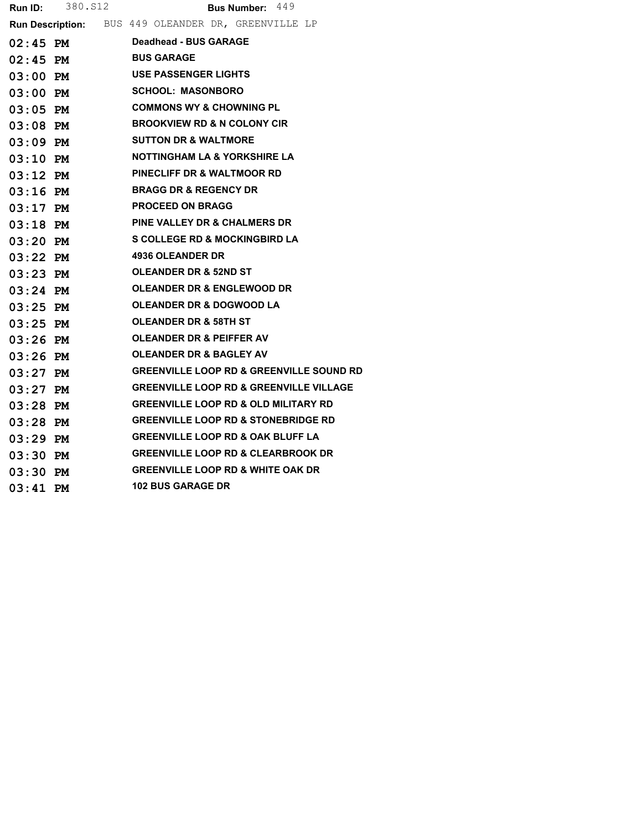| <b>Run ID:</b> | 380.S12 | <b>Bus Number: 449</b>                                     |
|----------------|---------|------------------------------------------------------------|
|                |         | <b>Run Description:</b> BUS 449 OLEANDER DR, GREENVILLE LP |
| $02:45$ PM     |         | Deadhead - BUS GARAGE                                      |
| $02:45$ PM     |         | <b>BUS GARAGE</b>                                          |
| $03:00$ PM     |         | <b>USE PASSENGER LIGHTS</b>                                |
| $03:00$ PM     |         | <b>SCHOOL: MASONBORO</b>                                   |
| $03:05$ PM     |         | <b>COMMONS WY &amp; CHOWNING PL</b>                        |
| $03:08$ PM     |         | <b>BROOKVIEW RD &amp; N COLONY CIR</b>                     |
| $03:09$ PM     |         | <b>SUTTON DR &amp; WALTMORE</b>                            |
| $03:10$ PM     |         | <b>NOTTINGHAM LA &amp; YORKSHIRE LA</b>                    |
| $03:12$ PM     |         | <b>PINECLIFF DR &amp; WALTMOOR RD</b>                      |
| $03:16$ PM     |         | <b>BRAGG DR &amp; REGENCY DR</b>                           |
| $03:17$ PM     |         | <b>PROCEED ON BRAGG</b>                                    |
| $03:18$ PM     |         | <b>PINE VALLEY DR &amp; CHALMERS DR</b>                    |
| $03:20$ PM     |         | <b>S COLLEGE RD &amp; MOCKINGBIRD LA</b>                   |
| $03:22$ PM     |         | <b>4936 OLEANDER DR</b>                                    |
| $03:23$ PM     |         | <b>OLEANDER DR &amp; 52ND ST</b>                           |
| $03:24$ PM     |         | <b>OLEANDER DR &amp; ENGLEWOOD DR</b>                      |
| $03:25$ PM     |         | <b>OLEANDER DR &amp; DOGWOOD LA</b>                        |
| 03:25 PM       |         | <b>OLEANDER DR &amp; 58TH ST</b>                           |
| $03:26$ PM     |         | <b>OLEANDER DR &amp; PEIFFER AV</b>                        |
| $03:26$ PM     |         | <b>OLEANDER DR &amp; BAGLEY AV</b>                         |
| $03:27$ PM     |         | <b>GREENVILLE LOOP RD &amp; GREENVILLE SOUND RD</b>        |
| $03:27$ PM     |         | <b>GREENVILLE LOOP RD &amp; GREENVILLE VILLAGE</b>         |
| $03:28$ PM     |         | <b>GREENVILLE LOOP RD &amp; OLD MILITARY RD</b>            |
| $03:28$ PM     |         | <b>GREENVILLE LOOP RD &amp; STONEBRIDGE RD</b>             |
| $03:29$ PM     |         | <b>GREENVILLE LOOP RD &amp; OAK BLUFF LA</b>               |
| $03:30$ PM     |         | <b>GREENVILLE LOOP RD &amp; CLEARBROOK DR</b>              |
| $03:30$ PM     |         | <b>GREENVILLE LOOP RD &amp; WHITE OAK DR</b>               |
| $03:41$ PM     |         | <b>102 BUS GARAGE DR</b>                                   |
|                |         |                                                            |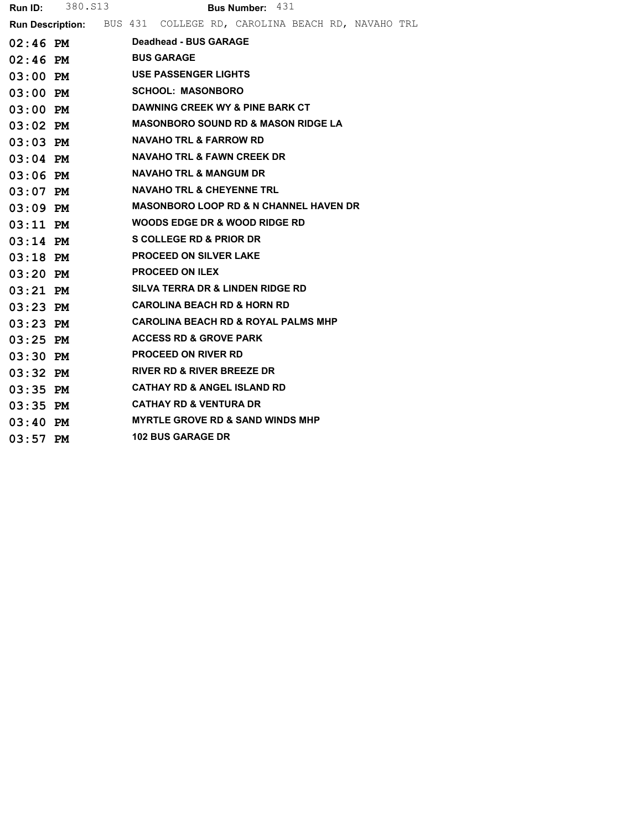|            | <b>Run ID:</b> 380. S13 |  |                                                                    | <b>Bus Number: 431</b> |  |  |  |
|------------|-------------------------|--|--------------------------------------------------------------------|------------------------|--|--|--|
|            |                         |  | Run Description: BUS 431 COLLEGE RD, CAROLINA BEACH RD, NAVAHO TRL |                        |  |  |  |
| $02:46$ PM |                         |  | Deadhead - BUS GARAGE                                              |                        |  |  |  |
| $02:46$ PM |                         |  | <b>BUS GARAGE</b>                                                  |                        |  |  |  |
| $03:00$ PM |                         |  | <b>USE PASSENGER LIGHTS</b>                                        |                        |  |  |  |
| $03:00$ PM |                         |  | <b>SCHOOL: MASONBORO</b>                                           |                        |  |  |  |
| $03:00$ PM |                         |  | DAWNING CREEK WY & PINE BARK CT                                    |                        |  |  |  |
| $03:02$ PM |                         |  | <b>MASONBORO SOUND RD &amp; MASON RIDGE LA</b>                     |                        |  |  |  |
| $03:03$ PM |                         |  | <b>NAVAHO TRL &amp; FARROW RD</b>                                  |                        |  |  |  |
| $03:04$ PM |                         |  | <b>NAVAHO TRL &amp; FAWN CREEK DR</b>                              |                        |  |  |  |
| $03:06$ PM |                         |  | <b>NAVAHO TRL &amp; MANGUM DR</b>                                  |                        |  |  |  |
| $03:07$ PM |                         |  | <b>NAVAHO TRL &amp; CHEYENNE TRL</b>                               |                        |  |  |  |
| $03:09$ PM |                         |  | <b>MASONBORO LOOP RD &amp; N CHANNEL HAVEN DR</b>                  |                        |  |  |  |
| $03:11$ PM |                         |  | WOODS EDGE DR & WOOD RIDGE RD                                      |                        |  |  |  |
| $03:14$ PM |                         |  | S COLLEGE RD & PRIOR DR                                            |                        |  |  |  |
| $03:18$ PM |                         |  | <b>PROCEED ON SILVER LAKE</b>                                      |                        |  |  |  |
| $03:20$ PM |                         |  | <b>PROCEED ON ILEX</b>                                             |                        |  |  |  |
| $03:21$ PM |                         |  | SILVA TERRA DR & LINDEN RIDGE RD                                   |                        |  |  |  |
| $03:23$ PM |                         |  | <b>CAROLINA BEACH RD &amp; HORN RD</b>                             |                        |  |  |  |
| $03:23$ PM |                         |  | <b>CAROLINA BEACH RD &amp; ROYAL PALMS MHP</b>                     |                        |  |  |  |
| $03:25$ PM |                         |  | <b>ACCESS RD &amp; GROVE PARK</b>                                  |                        |  |  |  |
| $03:30$ PM |                         |  | <b>PROCEED ON RIVER RD</b>                                         |                        |  |  |  |
| $03:32$ PM |                         |  | <b>RIVER RD &amp; RIVER BREEZE DR</b>                              |                        |  |  |  |
| $03:35$ PM |                         |  | <b>CATHAY RD &amp; ANGEL ISLAND RD</b>                             |                        |  |  |  |
| $03:35$ PM |                         |  | <b>CATHAY RD &amp; VENTURA DR</b>                                  |                        |  |  |  |
| $03:40$ PM |                         |  | <b>MYRTLE GROVE RD &amp; SAND WINDS MHP</b>                        |                        |  |  |  |
| $03:57$ PM |                         |  | <b>102 BUS GARAGE DR</b>                                           |                        |  |  |  |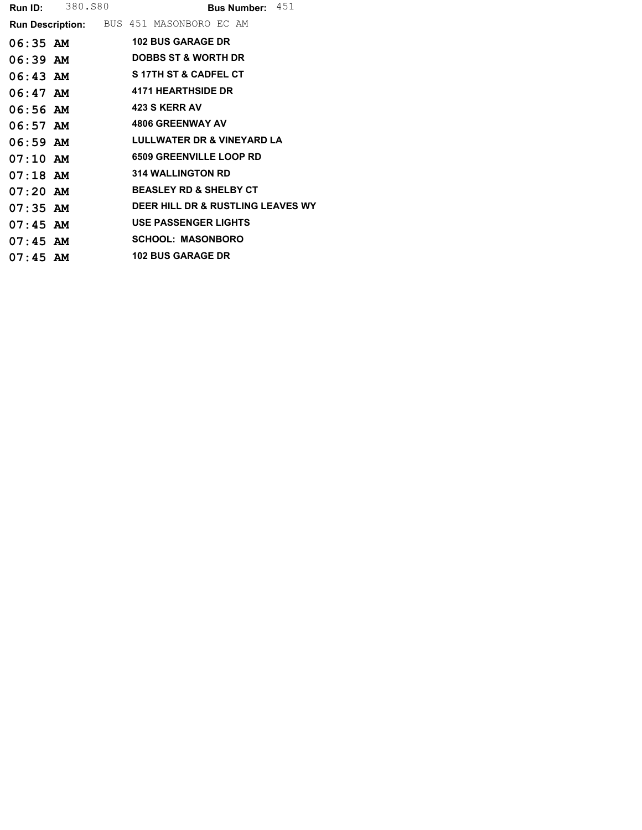|            | <b>Run ID:</b> 380.880 |                                                 | Bus Number: 451                       |
|------------|------------------------|-------------------------------------------------|---------------------------------------|
|            |                        | <b>Run Description:</b> BUS 451 MASONBORO EC AM |                                       |
| $06:35$ AM |                        | <b>102 BUS GARAGE DR</b>                        |                                       |
| $06:39$ AM |                        | <b>DOBBS ST &amp; WORTH DR</b>                  |                                       |
| $06:43$ AM |                        | <b>S17TH ST &amp; CADFEL CT</b>                 |                                       |
| $06:47$ AM |                        | <b>4171 HEARTHSIDE DR</b>                       |                                       |
| $06:56$ AM |                        | <b>423 S KERR AV</b>                            |                                       |
| $06:57$ AM |                        | <b>4806 GREENWAY AV</b>                         |                                       |
| $06:59$ AM |                        |                                                 | <b>LULLWATER DR &amp; VINEYARD LA</b> |
| $07:10$ AM |                        | <b>6509 GREENVILLE LOOP RD</b>                  |                                       |
| $07:18$ AM |                        | <b>314 WALLINGTON RD</b>                        |                                       |
| $07:20$ AM |                        | <b>BEASLEY RD &amp; SHELBY CT</b>               |                                       |
| $07:35$ AM |                        |                                                 | DEER HILL DR & RUSTLING LEAVES WY     |
| $07:45$ AM |                        | <b>USE PASSENGER LIGHTS</b>                     |                                       |
| $07:45$ AM |                        | <b>SCHOOL: MASONBORO</b>                        |                                       |
| $07:45$ AM |                        | <b>102 BUS GARAGE DR</b>                        |                                       |